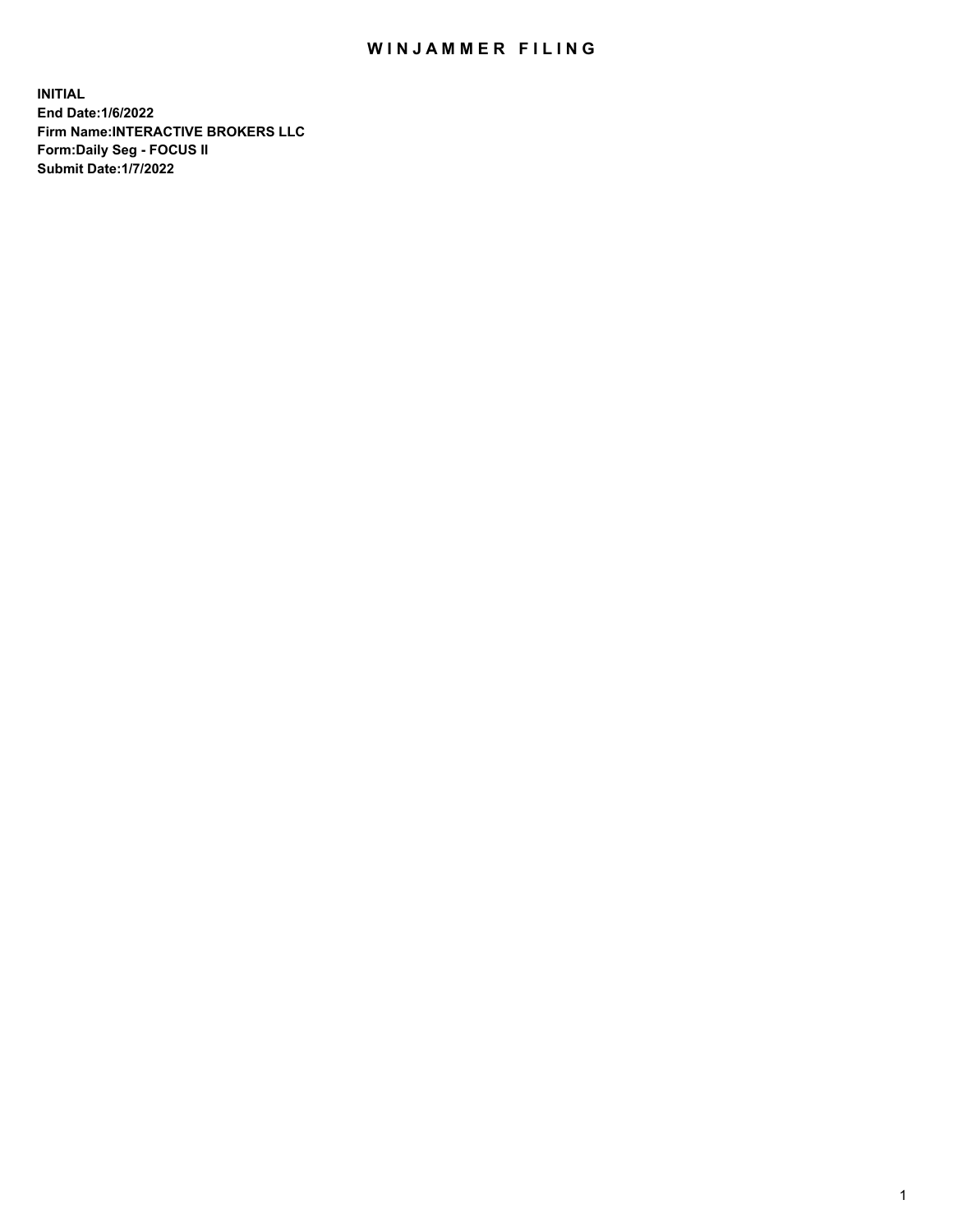## WIN JAMMER FILING

**INITIAL End Date:1/6/2022 Firm Name:INTERACTIVE BROKERS LLC Form:Daily Seg - FOCUS II Submit Date:1/7/2022**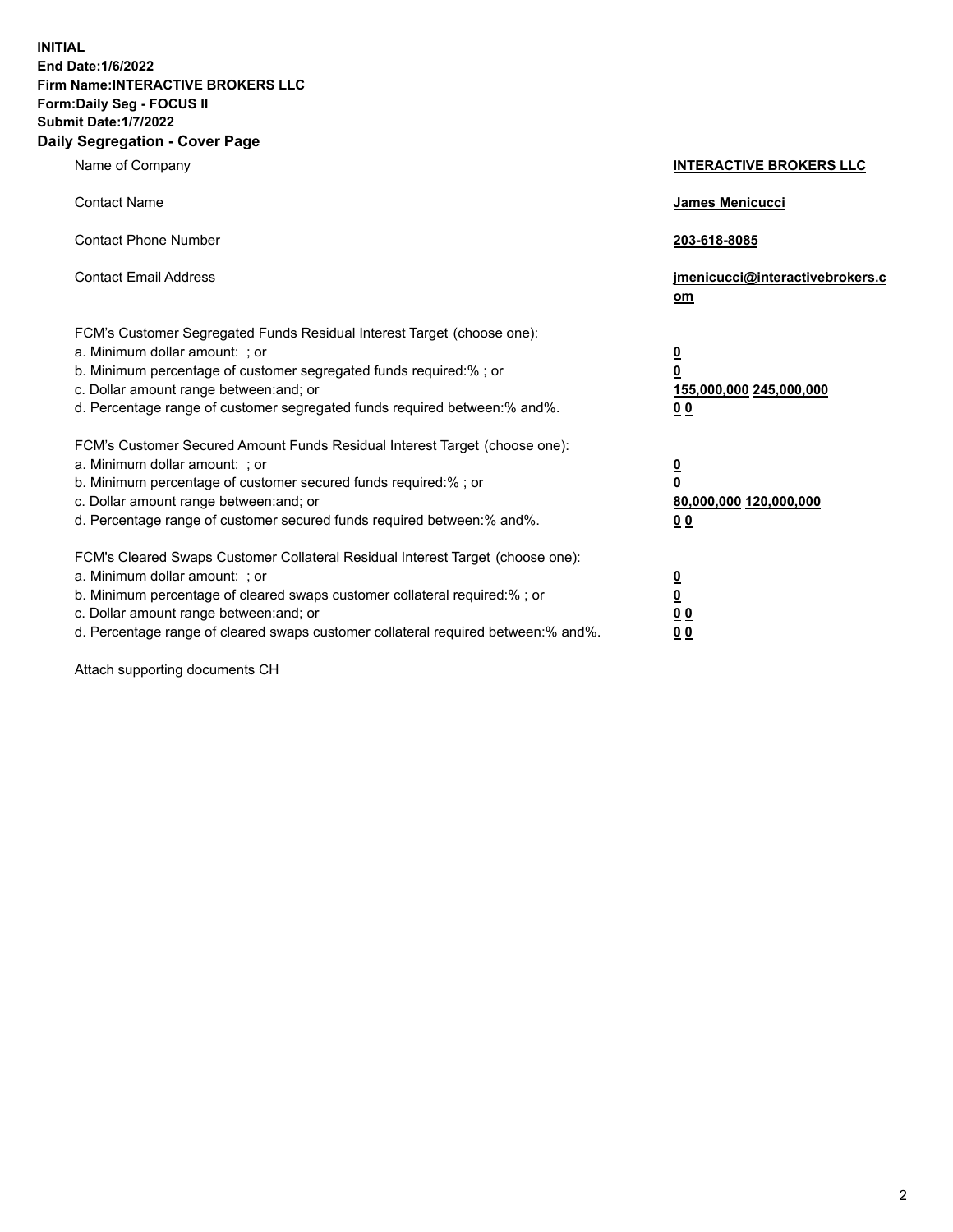**INITIAL End Date:1/6/2022 Firm Name:INTERACTIVE BROKERS LLC Form:Daily Seg - FOCUS II Submit Date:1/7/2022 Daily Segregation - Cover Page**

| Name of Company                                                                                                                                                                                                                                                                                                                | <b>INTERACTIVE BROKERS LLC</b>                                                                  |
|--------------------------------------------------------------------------------------------------------------------------------------------------------------------------------------------------------------------------------------------------------------------------------------------------------------------------------|-------------------------------------------------------------------------------------------------|
| <b>Contact Name</b>                                                                                                                                                                                                                                                                                                            | <b>James Menicucci</b>                                                                          |
| <b>Contact Phone Number</b>                                                                                                                                                                                                                                                                                                    | 203-618-8085                                                                                    |
| <b>Contact Email Address</b>                                                                                                                                                                                                                                                                                                   | jmenicucci@interactivebrokers.c<br>om                                                           |
| FCM's Customer Segregated Funds Residual Interest Target (choose one):<br>a. Minimum dollar amount: ; or<br>b. Minimum percentage of customer segregated funds required:% ; or<br>c. Dollar amount range between: and; or<br>d. Percentage range of customer segregated funds required between:% and%.                         | $\overline{\mathbf{0}}$<br>$\overline{\mathbf{0}}$<br>155,000,000 245,000,000<br>0 <sub>0</sub> |
| FCM's Customer Secured Amount Funds Residual Interest Target (choose one):<br>a. Minimum dollar amount: ; or<br>b. Minimum percentage of customer secured funds required:%; or<br>c. Dollar amount range between: and; or<br>d. Percentage range of customer secured funds required between:% and%.                            | $\overline{\mathbf{0}}$<br>$\mathbf 0$<br>80,000,000 120,000,000<br>0 <sub>0</sub>              |
| FCM's Cleared Swaps Customer Collateral Residual Interest Target (choose one):<br>a. Minimum dollar amount: ; or<br>b. Minimum percentage of cleared swaps customer collateral required:% ; or<br>c. Dollar amount range between: and; or<br>d. Percentage range of cleared swaps customer collateral required between:% and%. | $\overline{\mathbf{0}}$<br>$\underline{\mathbf{0}}$<br>0 <sub>0</sub><br>0 <sub>0</sub>         |

Attach supporting documents CH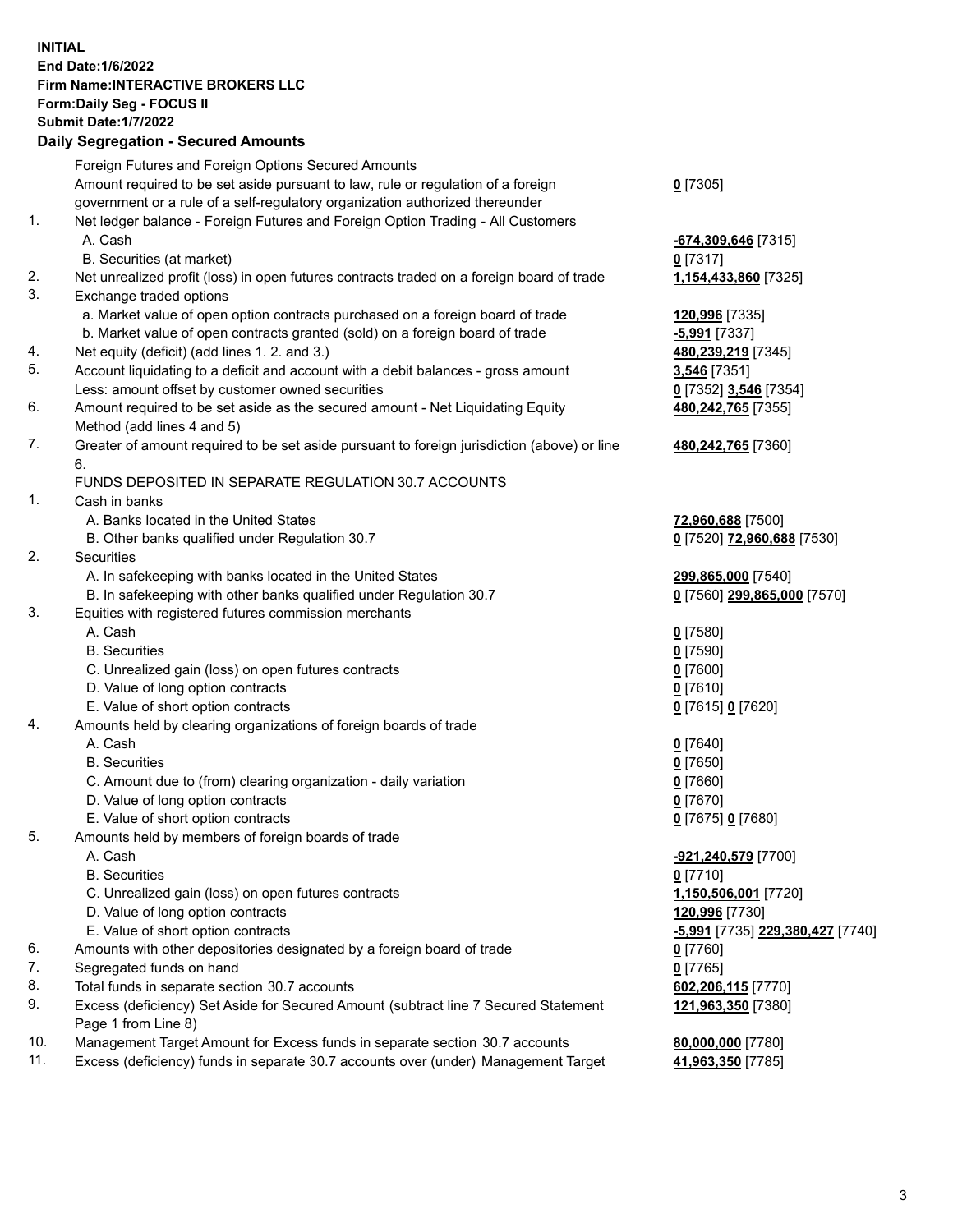**INITIAL End Date:1/6/2022 Firm Name:INTERACTIVE BROKERS LLC Form:Daily Seg - FOCUS II Submit Date:1/7/2022 Daily Segregation - Secured Amounts**

|     | Foreign Futures and Foreign Options Secured Amounts                                         |                                               |
|-----|---------------------------------------------------------------------------------------------|-----------------------------------------------|
|     | Amount required to be set aside pursuant to law, rule or regulation of a foreign            | $0$ [7305]                                    |
|     | government or a rule of a self-regulatory organization authorized thereunder                |                                               |
| 1.  | Net ledger balance - Foreign Futures and Foreign Option Trading - All Customers             |                                               |
|     | A. Cash                                                                                     | -674,309,646 [7315]                           |
|     | B. Securities (at market)                                                                   | $0$ [7317]                                    |
| 2.  | Net unrealized profit (loss) in open futures contracts traded on a foreign board of trade   | 1,154,433,860 [7325]                          |
| 3.  | Exchange traded options                                                                     |                                               |
|     | a. Market value of open option contracts purchased on a foreign board of trade              | 120,996 [7335]                                |
|     | b. Market value of open contracts granted (sold) on a foreign board of trade                | $-5,991$ [7337]                               |
| 4.  | Net equity (deficit) (add lines 1. 2. and 3.)                                               | 480,239,219 [7345]                            |
| 5.  | Account liquidating to a deficit and account with a debit balances - gross amount           | 3,546 [7351]                                  |
|     | Less: amount offset by customer owned securities                                            | 0 [7352] 3,546 [7354]                         |
| 6.  | Amount required to be set aside as the secured amount - Net Liquidating Equity              | 480,242,765 [7355]                            |
|     | Method (add lines 4 and 5)                                                                  |                                               |
| 7.  | Greater of amount required to be set aside pursuant to foreign jurisdiction (above) or line | 480,242,765 [7360]                            |
|     | 6.                                                                                          |                                               |
|     | FUNDS DEPOSITED IN SEPARATE REGULATION 30.7 ACCOUNTS                                        |                                               |
| 1.  | Cash in banks                                                                               |                                               |
|     | A. Banks located in the United States                                                       | 72,960,688 [7500]                             |
|     | B. Other banks qualified under Regulation 30.7                                              | 0 [7520] 72,960,688 [7530]                    |
| 2.  | Securities                                                                                  |                                               |
|     | A. In safekeeping with banks located in the United States                                   | 299,865,000 [7540]                            |
|     | B. In safekeeping with other banks qualified under Regulation 30.7                          | 0 [7560] 299,865,000 [7570]                   |
| 3.  | Equities with registered futures commission merchants                                       |                                               |
|     | A. Cash                                                                                     | $0$ [7580]                                    |
|     | <b>B.</b> Securities                                                                        | $0$ [7590]                                    |
|     | C. Unrealized gain (loss) on open futures contracts                                         | $0$ [7600]                                    |
|     | D. Value of long option contracts                                                           | $0$ [7610]                                    |
|     | E. Value of short option contracts                                                          | 0 [7615] 0 [7620]                             |
| 4.  | Amounts held by clearing organizations of foreign boards of trade                           |                                               |
|     | A. Cash                                                                                     | $0$ [7640]                                    |
|     | <b>B.</b> Securities                                                                        | $0$ [7650]                                    |
|     | C. Amount due to (from) clearing organization - daily variation                             | $0$ [7660]                                    |
|     | D. Value of long option contracts                                                           | $0$ [7670]                                    |
|     | E. Value of short option contracts                                                          | 0 [7675] 0 [7680]                             |
| 5.  | Amounts held by members of foreign boards of trade                                          |                                               |
|     | A. Cash                                                                                     | -921,240,579 [7700]                           |
|     | <b>B.</b> Securities                                                                        | $0$ [7710]                                    |
|     | C. Unrealized gain (loss) on open futures contracts                                         | 1,150,506,001 [7720]                          |
|     | D. Value of long option contracts                                                           | 120,996 [7730]                                |
|     | E. Value of short option contracts                                                          | <mark>-5,991</mark> [7735] 229,380,427 [7740] |
| 6.  | Amounts with other depositories designated by a foreign board of trade                      | 0 [7760]                                      |
| 7.  | Segregated funds on hand                                                                    | $0$ [7765]                                    |
| 8.  | Total funds in separate section 30.7 accounts                                               | 602,206,115 [7770]                            |
| 9.  | Excess (deficiency) Set Aside for Secured Amount (subtract line 7 Secured Statement         | 121,963,350 [7380]                            |
|     | Page 1 from Line 8)                                                                         |                                               |
| 10. | Management Target Amount for Excess funds in separate section 30.7 accounts                 | 80,000,000 [7780]                             |
| 11. | Excess (deficiency) funds in separate 30.7 accounts over (under) Management Target          | 41,963,350 [7785]                             |
|     |                                                                                             |                                               |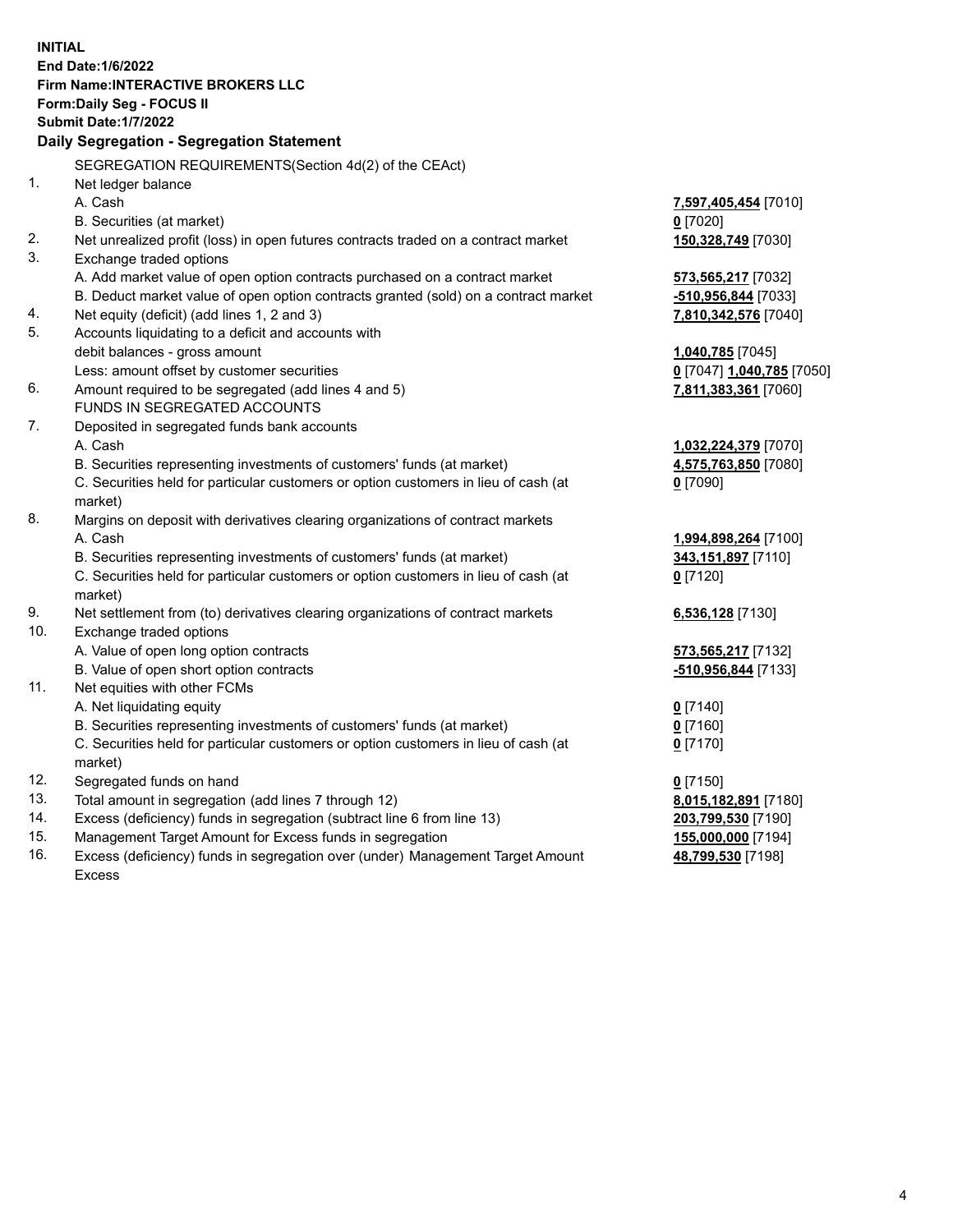**INITIAL End Date:1/6/2022 Firm Name:INTERACTIVE BROKERS LLC Form:Daily Seg - FOCUS II Submit Date:1/7/2022 Daily Segregation - Segregation Statement** SEGREGATION REQUIREMENTS(Section 4d(2) of the CEAct) 1. Net ledger balance A. Cash **7,597,405,454** [7010] B. Securities (at market) **0** [7020] 2. Net unrealized profit (loss) in open futures contracts traded on a contract market **150,328,749** [7030] 3. Exchange traded options A. Add market value of open option contracts purchased on a contract market **573,565,217** [7032] B. Deduct market value of open option contracts granted (sold) on a contract market **-510,956,844** [7033] 4. Net equity (deficit) (add lines 1, 2 and 3) **7,810,342,576** [7040] 5. Accounts liquidating to a deficit and accounts with debit balances - gross amount **1,040,785** [7045] Less: amount offset by customer securities **0** [7047] **1,040,785** [7050] 6. Amount required to be segregated (add lines 4 and 5) **7,811,383,361** [7060] FUNDS IN SEGREGATED ACCOUNTS 7. Deposited in segregated funds bank accounts A. Cash **1,032,224,379** [7070] B. Securities representing investments of customers' funds (at market) **4,575,763,850** [7080] C. Securities held for particular customers or option customers in lieu of cash (at market) **0** [7090] 8. Margins on deposit with derivatives clearing organizations of contract markets A. Cash **1,994,898,264** [7100] B. Securities representing investments of customers' funds (at market) **343,151,897** [7110] C. Securities held for particular customers or option customers in lieu of cash (at market) **0** [7120] 9. Net settlement from (to) derivatives clearing organizations of contract markets **6,536,128** [7130] 10. Exchange traded options A. Value of open long option contracts **573,565,217** [7132] B. Value of open short option contracts **-510,956,844** [7133] 11. Net equities with other FCMs A. Net liquidating equity **0** [7140] B. Securities representing investments of customers' funds (at market) **0** [7160] C. Securities held for particular customers or option customers in lieu of cash (at market) **0** [7170] 12. Segregated funds on hand **0** [7150] 13. Total amount in segregation (add lines 7 through 12) **8,015,182,891** [7180] 14. Excess (deficiency) funds in segregation (subtract line 6 from line 13) **203,799,530** [7190] 15. Management Target Amount for Excess funds in segregation **155,000,000** [7194] **48,799,530** [7198]

16. Excess (deficiency) funds in segregation over (under) Management Target Amount Excess